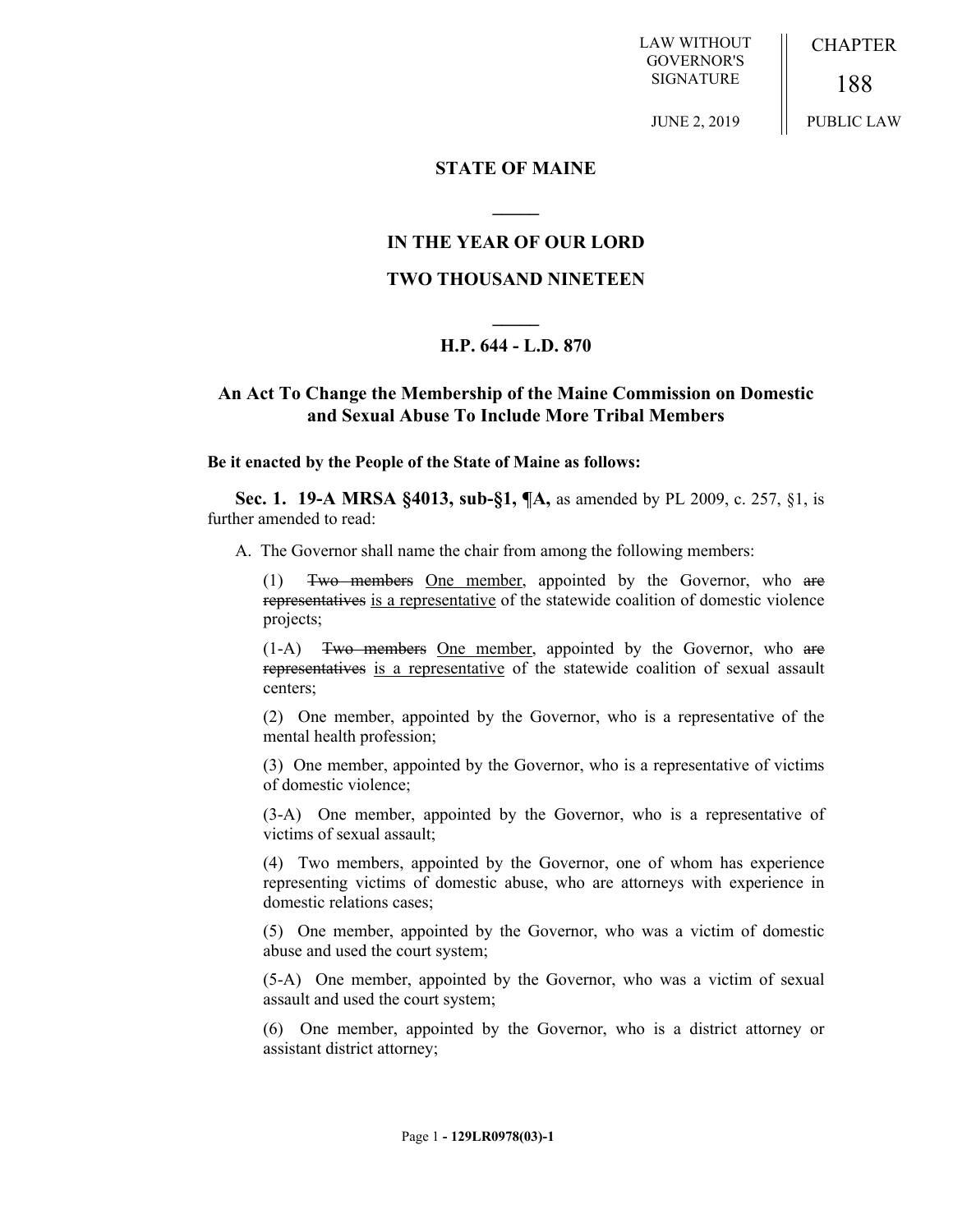LAW WITHOUT GOVERNOR'S SIGNATURE

CHAPTER

188 PUBLIC LAW

JUNE 2, 2019

### **STATE OF MAINE**

## **IN THE YEAR OF OUR LORD**

**\_\_\_\_\_**

## **TWO THOUSAND NINETEEN**

# **\_\_\_\_\_ H.P. 644 - L.D. 870**

### **An Act To Change the Membership of the Maine Commission on Domestic and Sexual Abuse To Include More Tribal Members**

#### **Be it enacted by the People of the State of Maine as follows:**

**Sec. 1. 19-A MRSA §4013, sub-§1, ¶A,** as amended by PL 2009, c. 257, §1, is further amended to read:

A. The Governor shall name the chair from among the following members:

(1) Two members One member, appointed by the Governor, who are representatives is a representative of the statewide coalition of domestic violence projects;

(1-A) Two members One member, appointed by the Governor, who are representatives is a representative of the statewide coalition of sexual assault centers;

(2) One member, appointed by the Governor, who is a representative of the mental health profession;

(3) One member, appointed by the Governor, who is a representative of victims of domestic violence;

(3-A) One member, appointed by the Governor, who is a representative of victims of sexual assault;

(4) Two members, appointed by the Governor, one of whom has experience representing victims of domestic abuse, who are attorneys with experience in domestic relations cases;

(5) One member, appointed by the Governor, who was a victim of domestic abuse and used the court system;

(5-A) One member, appointed by the Governor, who was a victim of sexual assault and used the court system;

(6) One member, appointed by the Governor, who is a district attorney or assistant district attorney;